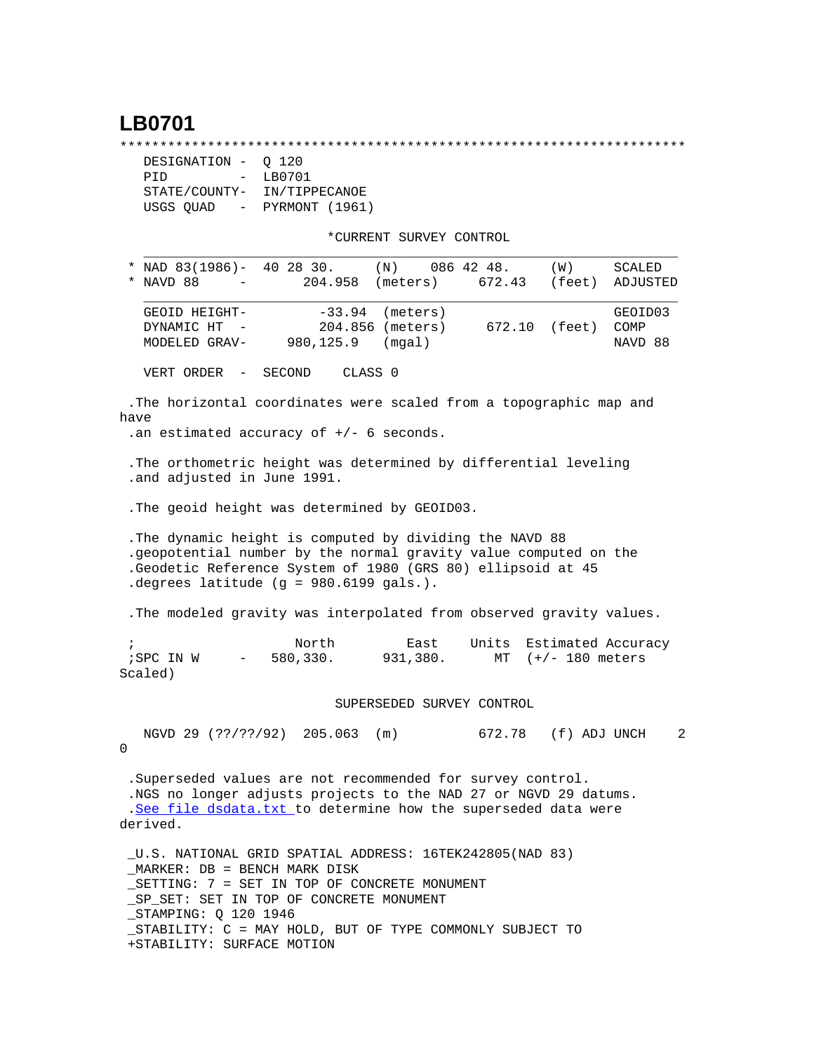## **LB0701**

\*\*\*\*\*\*\*\*\*\*\*\*\*\*\*\*\*\*\*\*\*\*\*\*\*\*\*\*\*\*\*\*\*\*\*\*\*\*\*\*\*\*\*\*\*\*\*\*\*\*\*\*\*\*\*\*\*\*\*\*\*\*\*\*\*\*\*\*\*\*\*

| DESIGNATION - 0 120     |                |
|-------------------------|----------------|
| PTD<br>$\sim$           | LB0701         |
| STATE/COUNTY-           | IN/TIPPECANOE  |
| USGS OUAD<br>$\sim$ $-$ | PYRMONT (1961) |

\*CURRENT SURVEY CONTROL

|                       | * NAD 83(1986)- 40 28 30.<br>* NAVD 88                                  |                                 | 204.958                         | (N)<br>(meters)                                                                                                                                                                                  | 086 42 48.<br>672.43 | (W)<br>(feet)     | SCALED<br>ADJUSTED         |
|-----------------------|-------------------------------------------------------------------------|---------------------------------|---------------------------------|--------------------------------------------------------------------------------------------------------------------------------------------------------------------------------------------------|----------------------|-------------------|----------------------------|
|                       | GEOID HEIGHT-<br>DYNAMIC HT<br>MODELED GRAV-                            |                                 | $-33.94$<br>$980, 125.9$ (mgal) | (meters)<br>204.856 (meters)                                                                                                                                                                     | 672.10 (feet)        |                   | GEOID03<br>COMP<br>NAVD 88 |
|                       | VERT ORDER -                                                            | SECOND                          |                                 | CLASS 0                                                                                                                                                                                          |                      |                   |                            |
| have                  | .an estimated accuracy of $+/-$ 6 seconds.                              |                                 |                                 | . The horizontal coordinates were scaled from a topographic map and                                                                                                                              |                      |                   |                            |
|                       | .and adjusted in June 1991.                                             |                                 |                                 | . The orthometric height was determined by differential leveling                                                                                                                                 |                      |                   |                            |
|                       |                                                                         |                                 |                                 | . The geoid height was determined by GEOID03.                                                                                                                                                    |                      |                   |                            |
|                       | .degrees latitude (g = 980.6199 gals.).                                 |                                 |                                 | . The dynamic height is computed by dividing the NAVD 88<br>.geopotential number by the normal gravity value computed on the<br>.Geodetic Reference System of 1980 (GRS 80) ellipsoid at 45      |                      |                   |                            |
|                       |                                                                         |                                 |                                 | . The modeled gravity was interpolated from observed gravity values.                                                                                                                             |                      |                   |                            |
| $\ddot{i}$<br>Scaled) | ;SPC IN W                                                               | $\frac{1}{2}$ and $\frac{1}{2}$ | North<br>580,330.               | East<br>931,380.                                                                                                                                                                                 | Units<br>MT          | $(+/- 180$ meters | Estimated Accuracy         |
|                       |                                                                         |                                 |                                 | SUPERSEDED SURVEY CONTROL                                                                                                                                                                        |                      |                   |                            |
| 0                     | NGVD 29 (??/??/92) 205.063                                              |                                 |                                 | (m)                                                                                                                                                                                              | 672.78 (f) ADJ UNCH  |                   | 2                          |
|                       | derived.                                                                |                                 |                                 | .Superseded values are not recommended for survey control.<br>.NGS no longer adjusts projects to the NAD 27 or NGVD 29 datums.<br>.See file dsdata.txt to determine how the superseded data were |                      |                   |                            |
|                       | MARKER: DB = BENCH MARK DISK<br>SP_SET: SET IN TOP OF CONCRETE MONUMENT |                                 |                                 | _U.S. NATIONAL GRID SPATIAL ADDRESS: 16TEK242805(NAD 83)<br>SETTING: 7 = SET IN TOP OF CONCRETE MONUMENT                                                                                         |                      |                   |                            |

\_STAMPING: Q 120 1946

 \_STABILITY: C = MAY HOLD, BUT OF TYPE COMMONLY SUBJECT TO +STABILITY: SURFACE MOTION